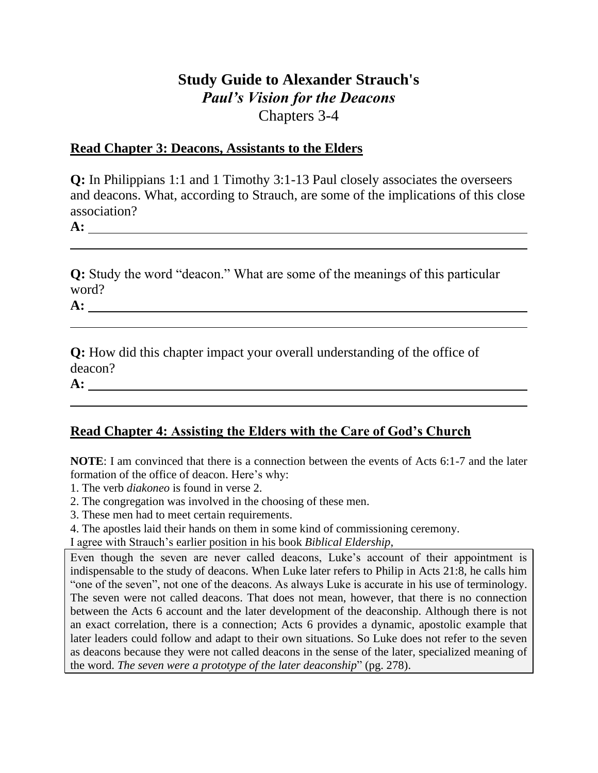## **Study Guide to Alexander Strauch's**  *Paul's Vision for the Deacons* Chapters 3-4

## **Read Chapter 3: Deacons, Assistants to the Elders**

**Q:** In Philippians 1:1 and 1 Timothy 3:1-13 Paul closely associates the overseers and deacons. What, according to Strauch, are some of the implications of this close association?

**A:** 

**Q:** Study the word "deacon." What are some of the meanings of this particular word?

**A:** 

**Q:** How did this chapter impact your overall understanding of the office of deacon?

**A:** 

## **Read Chapter 4: Assisting the Elders with the Care of God's Church**

**NOTE**: I am convinced that there is a connection between the events of Acts 6:1-7 and the later formation of the office of deacon. Here's why:

- 1. The verb *diakoneo* is found in verse 2.
- 2. The congregation was involved in the choosing of these men.
- 3. These men had to meet certain requirements.
- 4. The apostles laid their hands on them in some kind of commissioning ceremony.

I agree with Strauch's earlier position in his book *Biblical Eldership*,

Even though the seven are never called deacons, Luke's account of their appointment is indispensable to the study of deacons. When Luke later refers to Philip in Acts 21:8, he calls him "one of the seven", not one of the deacons. As always Luke is accurate in his use of terminology. The seven were not called deacons. That does not mean, however, that there is no connection between the Acts 6 account and the later development of the deaconship. Although there is not an exact correlation, there is a connection; Acts 6 provides a dynamic, apostolic example that later leaders could follow and adapt to their own situations. So Luke does not refer to the seven as deacons because they were not called deacons in the sense of the later, specialized meaning of the word. *The seven were a prototype of the later deaconship*" (pg. 278).